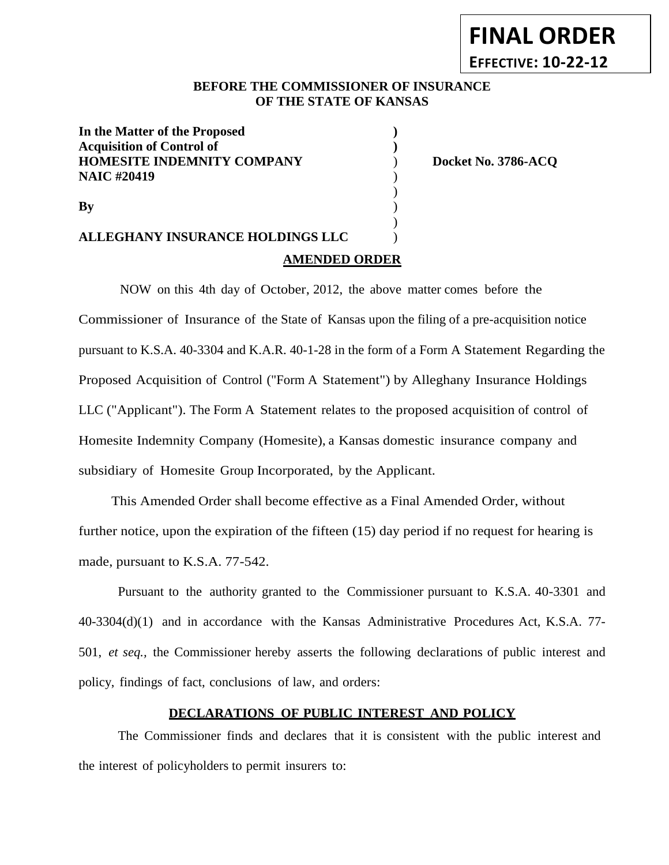# **FINAL ORDER EFFECTIVE: 10-22-12**

### **BEFORE THE COMMISSIONER OF INSURANCE OF THE STATE OF KANSAS**

)

)

**In the Matter of the Proposed ) Acquisition of Control of ) HOMESITE INDEMNITY COMPANY**  $\qquad$  ) Docket No. 3786-ACO **NAIC #20419** )

# **ALLEGHANY INSURANCE HOLDINGS LLC** ) **AMENDED ORDER**

**By** )

NOW on this 4th day of October, 2012, the above matter comes before the Commissioner of Insurance of the State of Kansas upon the filing of a pre-acquisition notice pursuant to K.S.A. 40-3304 and K.A.R. 40-1-28 in the form of a Form A Statement Regarding the Proposed Acquisition of Control ("Form A Statement") by Alleghany Insurance Holdings LLC ("Applicant"). The Form A Statement relates to the proposed acquisition of control of Homesite Indemnity Company (Homesite), a Kansas domestic insurance company and subsidiary of Homesite Group Incorporated, by the Applicant.

This Amended Order shall become effective as a Final Amended Order, without further notice, upon the expiration of the fifteen (15) day period if no request for hearing is made, pursuant to K.S.A. 77-542.

Pursuant to the authority granted to the Commissioner pursuant to K.S.A. 40-3301 and 40-3304(d)(1) and in accordance with the Kansas Administrative Procedures Act, K.S.A. 77- 501, *et seq.,* the Commissioner hereby asserts the following declarations of public interest and policy, findings of fact, conclusions of law, and orders:

## **DECLARATIONS OF PUBLIC INTEREST AND POLICY**

The Commissioner finds and declares that it is consistent with the public interest and the interest of policyholders to permit insurers to: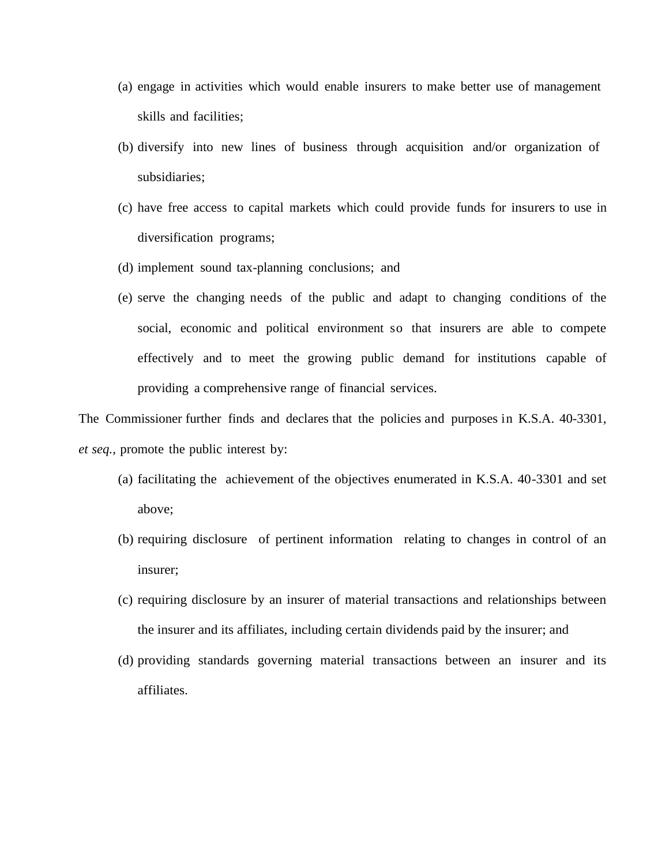- (a) engage in activities which would enable insurers to make better use of management skills and facilities;
- (b) diversify into new lines of business through acquisition and/or organization of subsidiaries;
- (c) have free access to capital markets which could provide funds for insurers to use in diversification programs;
- (d) implement sound tax-planning conclusions; and
- (e) serve the changing needs of the public and adapt to changing conditions of the social, economic and political environment so that insurers are able to compete effectively and to meet the growing public demand for institutions capable of providing a comprehensive range of financial services.

The Commissioner further finds and declares that the policies and purposes in K.S.A. 40-3301, *et seq.,* promote the public interest by:

- (a) facilitating the achievement of the objectives enumerated in K.S.A. 40-3301 and set above;
- (b) requiring disclosure of pertinent information relating to changes in control of an insurer;
- (c) requiring disclosure by an insurer of material transactions and relationships between the insurer and its affiliates, including certain dividends paid by the insurer; and
- (d) providing standards governing material transactions between an insurer and its affiliates.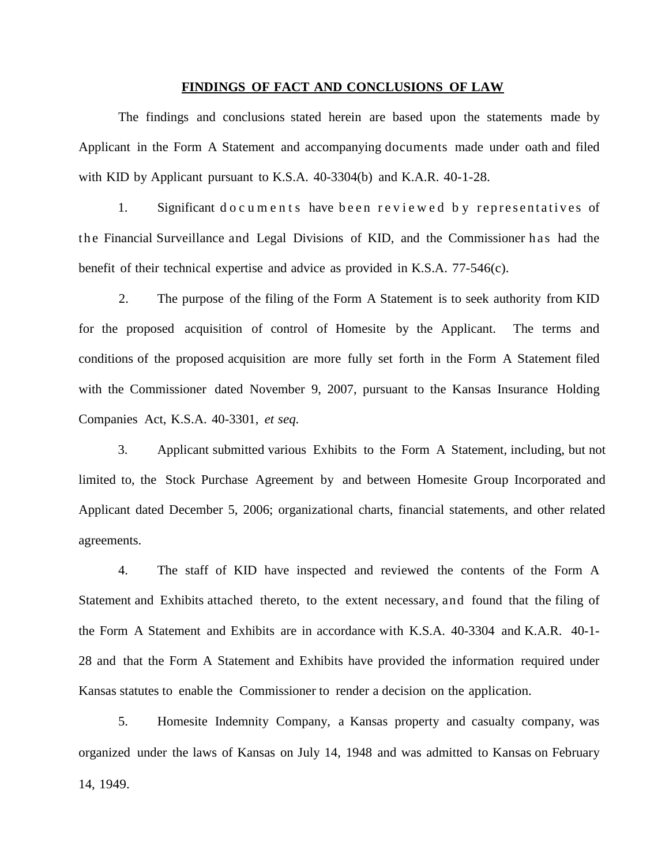#### **FINDINGS OF FACT AND CONCLUSIONS OF LAW**

The findings and conclusions stated herein are based upon the statements made by Applicant in the Form A Statement and accompanying documents made under oath and filed with KID by Applicant pursuant to K.S.A. 40-3304(b) and K.A.R. 40-1-28.

1. Significant do cuments have been reviewed by representatives of the Financial Surveillance and Legal Divisions of KID, and the Commissioner has had the benefit of their technical expertise and advice as provided in K.S.A. 77-546(c).

2. The purpose of the filing of the Form A Statement is to seek authority from KID for the proposed acquisition of control of Homesite by the Applicant. The terms and conditions of the proposed acquisition are more fully set forth in the Form A Statement filed with the Commissioner dated November 9, 2007, pursuant to the Kansas Insurance Holding Companies Act, K.S.A. 40-3301, *et seq.*

3. Applicant submitted various Exhibits to the Form A Statement, including, but not limited to, the Stock Purchase Agreement by and between Homesite Group Incorporated and Applicant dated December 5, 2006; organizational charts, financial statements, and other related agreements.

4. The staff of KID have inspected and reviewed the contents of the Form A Statement and Exhibits attached thereto, to the extent necessary, and found that the filing of the Form A Statement and Exhibits are in accordance with K.S.A. 40-3304 and K.A.R. 40-1- 28 and that the Form A Statement and Exhibits have provided the information required under Kansas statutes to enable the Commissioner to render a decision on the application.

5. Homesite Indemnity Company, a Kansas property and casualty company, was organized under the laws of Kansas on July 14, 1948 and was admitted to Kansas on February 14, 1949.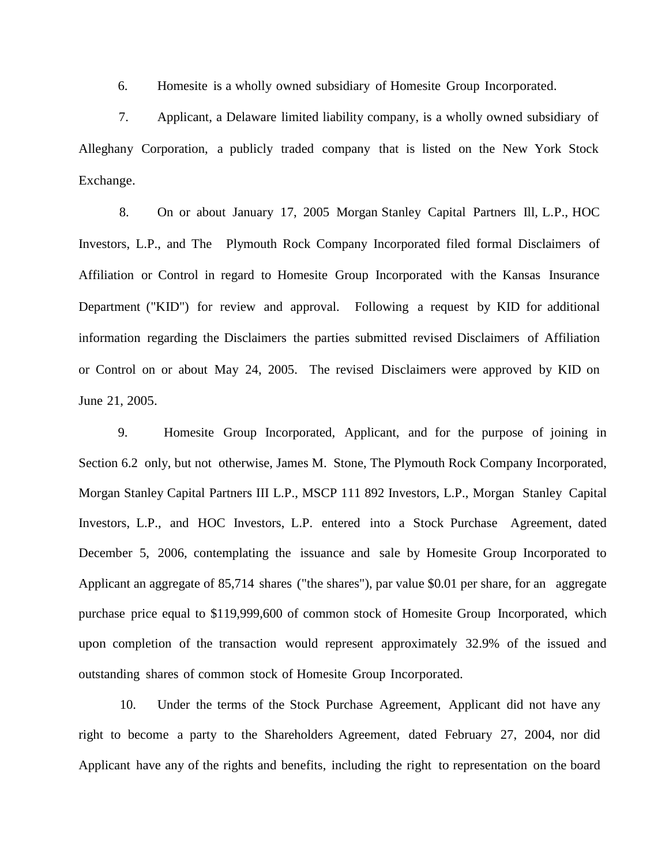6. Homesite is a wholly owned subsidiary of Homesite Group Incorporated.

7. Applicant, a Delaware limited liability company, is a wholly owned subsidiary of Alleghany Corporation, a publicly traded company that is listed on the New York Stock Exchange.

8. On or about January 17, 2005 Morgan Stanley Capital Partners Ill, L.P., HOC Investors, L.P., and The Plymouth Rock Company Incorporated filed formal Disclaimers of Affiliation or Control in regard to Homesite Group Incorporated with the Kansas Insurance Department ("KID") for review and approval. Following a request by KID for additional information regarding the Disclaimers the parties submitted revised Disclaimers of Affiliation or Control on or about May 24, 2005. The revised Disclaimers were approved by KID on June 21, 2005.

9. Homesite Group Incorporated, Applicant, and for the purpose of joining in Section 6.2 only, but not otherwise, James M. Stone, The Plymouth Rock Company Incorporated, Morgan Stanley Capital Partners III L.P., MSCP 111 892 Investors, L.P., Morgan Stanley Capital Investors, L.P., and HOC Investors, L.P. entered into a Stock Purchase Agreement, dated December 5, 2006, contemplating the issuance and sale by Homesite Group Incorporated to Applicant an aggregate of 85,714 shares ("the shares"), par value \$0.01 per share, for an aggregate purchase price equal to \$119,999,600 of common stock of Homesite Group Incorporated, which upon completion of the transaction would represent approximately 32.9% of the issued and outstanding shares of common stock of Homesite Group Incorporated.

10. Under the terms of the Stock Purchase Agreement, Applicant did not have any right to become a party to the Shareholders Agreement, dated February 27, 2004, nor did Applicant have any of the rights and benefits, including the right to representation on the board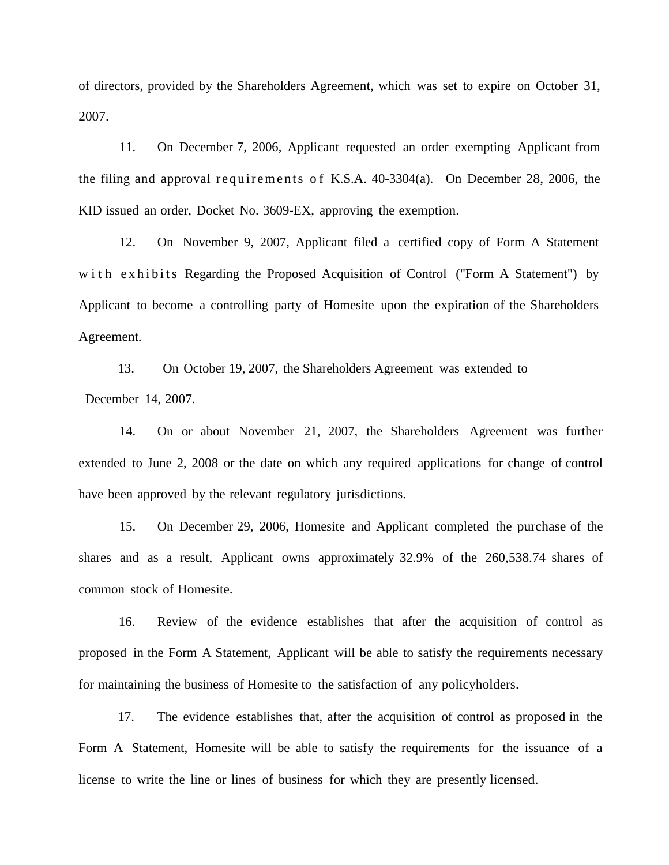of directors, provided by the Shareholders Agreement, which was set to expire on October 31, 2007.

11. On December 7, 2006, Applicant requested an order exempting Applicant from the filing and approval requirements of K.S.A.  $40-3304(a)$ . On December 28, 2006, the KID issued an order, Docket No. 3609-EX, approving the exemption.

12. On November 9, 2007, Applicant filed a certified copy of Form A Statement w ith exhibits Regarding the Proposed Acquisition of Control ("Form A Statement") by Applicant to become a controlling party of Homesite upon the expiration of the Shareholders Agreement.

13. On October 19, 2007, the Shareholders Agreement was extended to December 14, 2007.

14. On or about November 21, 2007, the Shareholders Agreement was further extended to June 2, 2008 or the date on which any required applications for change of control have been approved by the relevant regulatory jurisdictions.

15. On December 29, 2006, Homesite and Applicant completed the purchase of the shares and as a result, Applicant owns approximately 32.9% of the 260,538.74 shares of common stock of Homesite.

16. Review of the evidence establishes that after the acquisition of control as proposed in the Form A Statement, Applicant will be able to satisfy the requirements necessary for maintaining the business of Homesite to the satisfaction of any policyholders.

17. The evidence establishes that, after the acquisition of control as proposed in the Form A Statement, Homesite will be able to satisfy the requirements for the issuance of a license to write the line or lines of business for which they are presently licensed.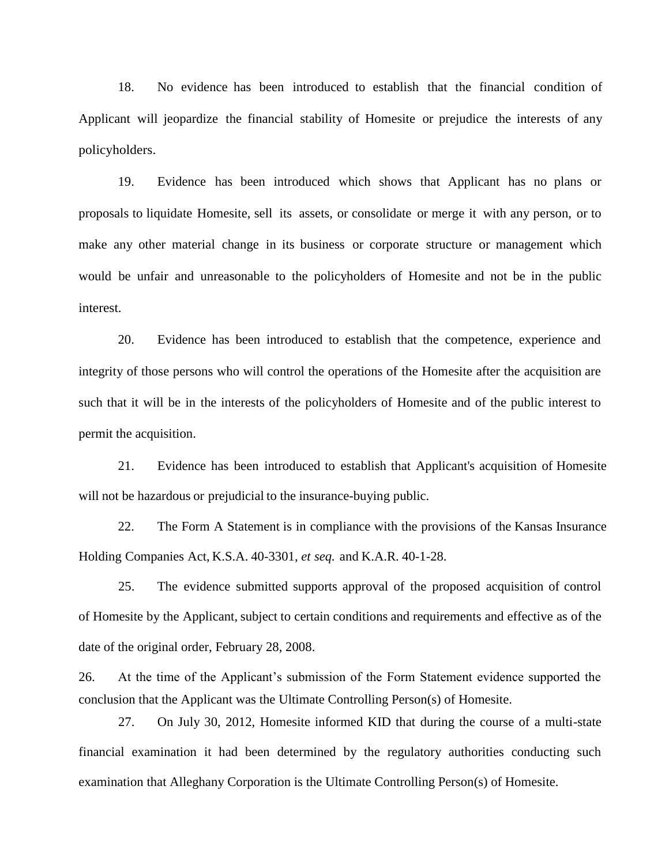18. No evidence has been introduced to establish that the financial condition of Applicant will jeopardize the financial stability of Homesite or prejudice the interests of any policyholders.

19. Evidence has been introduced which shows that Applicant has no plans or proposals to liquidate Homesite, sell its assets, or consolidate or merge it with any person, or to make any other material change in its business or corporate structure or management which would be unfair and unreasonable to the policyholders of Homesite and not be in the public interest.

20. Evidence has been introduced to establish that the competence, experience and integrity of those persons who will control the operations of the Homesite after the acquisition are such that it will be in the interests of the policyholders of Homesite and of the public interest to permit the acquisition.

21. Evidence has been introduced to establish that Applicant's acquisition of Homesite will not be hazardous or prejudicial to the insurance-buying public.

22. The Form A Statement is in compliance with the provisions of the Kansas Insurance Holding Companies Act, K.S.A. 40-3301, *et seq.* and K.A.R. 40-1-28.

25. The evidence submitted supports approval of the proposed acquisition of control of Homesite by the Applicant, subject to certain conditions and requirements and effective as of the date of the original order, February 28, 2008.

26. At the time of the Applicant's submission of the Form Statement evidence supported the conclusion that the Applicant was the Ultimate Controlling Person(s) of Homesite.

27. On July 30, 2012, Homesite informed KID that during the course of a multi-state financial examination it had been determined by the regulatory authorities conducting such examination that Alleghany Corporation is the Ultimate Controlling Person(s) of Homesite.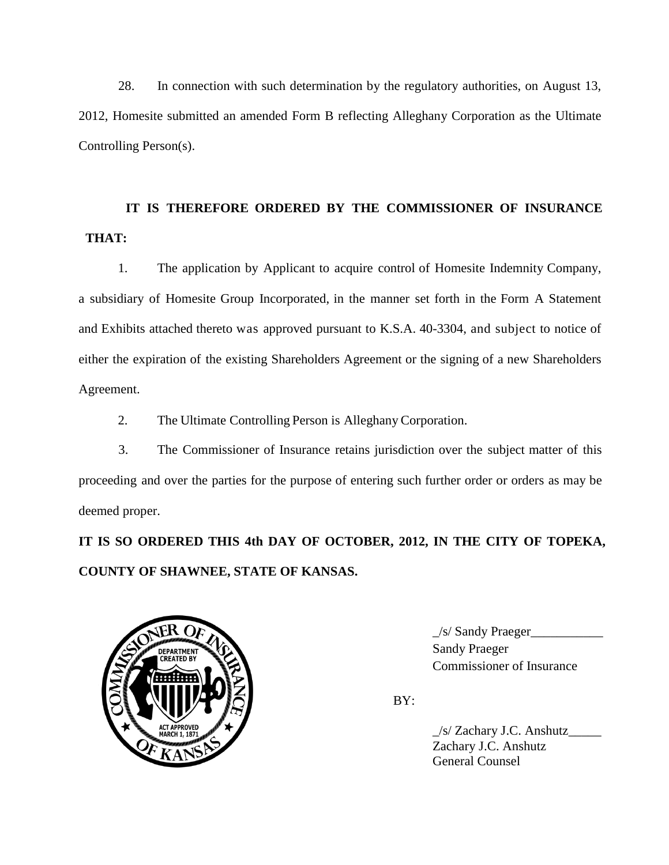28. In connection with such determination by the regulatory authorities, on August 13, 2012, Homesite submitted an amended Form B reflecting Alleghany Corporation as the Ultimate Controlling Person(s).

# **IT IS THEREFORE ORDERED BY THE COMMISSIONER OF INSURANCE THAT:**

1. The application by Applicant to acquire control of Homesite Indemnity Company, a subsidiary of Homesite Group Incorporated, in the manner set forth in the Form A Statement and Exhibits attached thereto was approved pursuant to K.S.A. 40-3304, and subject to notice of either the expiration of the existing Shareholders Agreement or the signing of a new Shareholders Agreement.

2. The Ultimate Controlling Person is Alleghany Corporation.

3. The Commissioner of Insurance retains jurisdiction over the subject matter of this proceeding and over the parties for the purpose of entering such further order or orders as may be deemed proper.

**IT IS SO ORDERED THIS 4th DAY OF OCTOBER, 2012, IN THE CITY OF TOPEKA, COUNTY OF SHAWNEE, STATE OF KANSAS.**



 $\angle$ s/ Sandy Praeger $\angle$ 3. Commissioner of Insurance

BY:

\_/s/ Zachary J.C. Anshutz\_\_\_\_\_ Zachary J.C. Anshutz General Counsel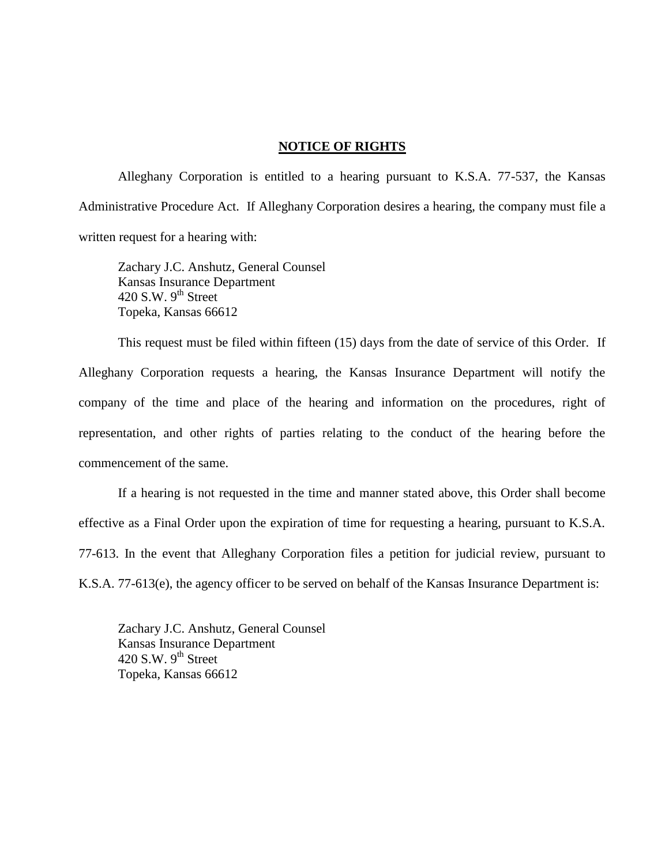#### **NOTICE OF RIGHTS**

Alleghany Corporation is entitled to a hearing pursuant to K.S.A. 77-537, the Kansas Administrative Procedure Act. If Alleghany Corporation desires a hearing, the company must file a written request for a hearing with:

Zachary J.C. Anshutz, General Counsel Kansas Insurance Department 420 S.W.  $9<sup>th</sup>$  Street Topeka, Kansas 66612

This request must be filed within fifteen (15) days from the date of service of this Order. If Alleghany Corporation requests a hearing, the Kansas Insurance Department will notify the company of the time and place of the hearing and information on the procedures, right of representation, and other rights of parties relating to the conduct of the hearing before the commencement of the same.

If a hearing is not requested in the time and manner stated above, this Order shall become effective as a Final Order upon the expiration of time for requesting a hearing, pursuant to K.S.A. 77-613. In the event that Alleghany Corporation files a petition for judicial review, pursuant to K.S.A. 77-613(e), the agency officer to be served on behalf of the Kansas Insurance Department is:

Zachary J.C. Anshutz, General Counsel Kansas Insurance Department 420 S.W.  $9<sup>th</sup>$  Street Topeka, Kansas 66612